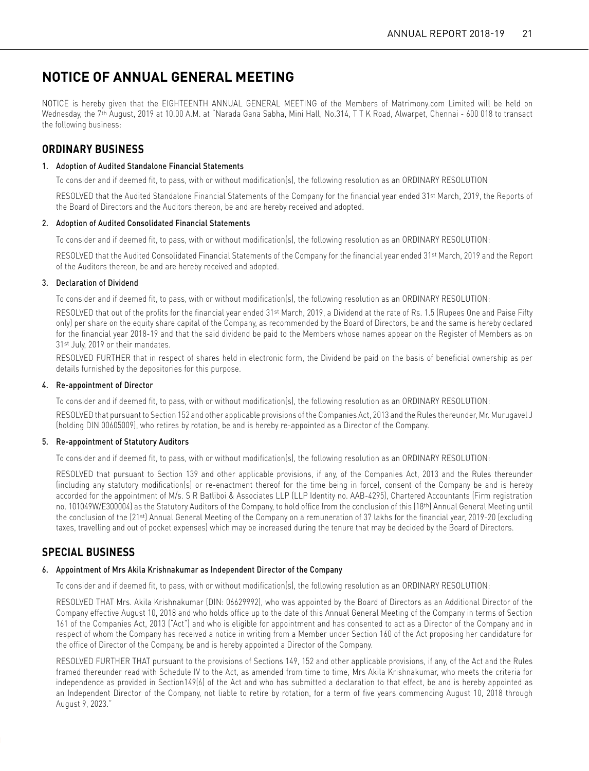# **NOTICE OF ANNUAL GENERAL MEETING**

NOTICE is hereby given that the EIGHTEENTH ANNUAL GENERAL MEETING of the Members of Matrimony.com Limited will be held on Wednesday, the 7th August, 2019 at 10.00 A.M. at "Narada Gana Sabha, Mini Hall, No.314, T T K Road, Alwarpet, Chennai - 600 018 to transact the following business:

### **ORDINARY BUSINESS**

### 1. Adoption of Audited Standalone Financial Statements

To consider and if deemed fit, to pass, with or without modification(s), the following resolution as an ORDINARY RESOLUTION

RESOLVED that the Audited Standalone Financial Statements of the Company for the financial year ended 31<sup>st</sup> March, 2019, the Reports of the Board of Directors and the Auditors thereon, be and are hereby received and adopted.

### 2. Adoption of Audited Consolidated Financial Statements

To consider and if deemed fit, to pass, with or without modification(s), the following resolution as an ORDINARY RESOLUTION:

RESOLVED that the Audited Consolidated Financial Statements of the Company for the financial year ended 31st March, 2019 and the Report of the Auditors thereon, be and are hereby received and adopted.

### 3. Declaration of Dividend

To consider and if deemed fit, to pass, with or without modification(s), the following resolution as an ORDINARY RESOLUTION:

 RESOLVED that out of the profits for the financial year ended 31st March, 2019, a Dividend at the rate of Rs. 1.5 (Rupees One and Paise Fifty only) per share on the equity share capital of the Company, as recommended by the Board of Directors, be and the same is hereby declared for the financial year 2018-19 and that the said dividend be paid to the Members whose names appear on the Register of Members as on 31st July, 2019 or their mandates.

 RESOLVED FURTHER that in respect of shares held in electronic form, the Dividend be paid on the basis of beneficial ownership as per details furnished by the depositories for this purpose.

### 4. Re-appointment of Director

To consider and if deemed fit, to pass, with or without modification(s), the following resolution as an ORDINARY RESOLUTION:

 RESOLVED that pursuant to Section 152 and other applicable provisions of the Companies Act, 2013 and the Rules thereunder, Mr. Murugavel J (holding DIN 00605009), who retires by rotation, be and is hereby re-appointed as a Director of the Company.

### 5. Re-appointment of Statutory Auditors

To consider and if deemed fit, to pass, with or without modification(s), the following resolution as an ORDINARY RESOLUTION:

 RESOLVED that pursuant to Section 139 and other applicable provisions, if any, of the Companies Act, 2013 and the Rules thereunder (including any statutory modification(s) or re-enactment thereof for the time being in force), consent of the Company be and is hereby accorded for the appointment of M/s. S R Batliboi & Associates LLP (LLP Identity no. AAB-4295), Chartered Accountants (Firm registration no. 101049W/E300004) as the Statutory Auditors of the Company, to hold office from the conclusion of this (18th) Annual General Meeting until the conclusion of the (21st) Annual General Meeting of the Company on a remuneration of 37 lakhs for the financial year, 2019-20 (excluding taxes, travelling and out of pocket expenses) which may be increased during the tenure that may be decided by the Board of Directors.

### **SPECIAL BUSINESS**

### 6. Appointment of Mrs Akila Krishnakumar as Independent Director of the Company

To consider and if deemed fit, to pass, with or without modification(s), the following resolution as an ORDINARY RESOLUTION:

RESOLVED THAT Mrs. Akila Krishnakumar (DIN: 06629992), who was appointed by the Board of Directors as an Additional Director of the Company effective August 10, 2018 and who holds office up to the date of this Annual General Meeting of the Company in terms of Section 161 of the Companies Act, 2013 ("Act") and who is eligible for appointment and has consented to act as a Director of the Company and in respect of whom the Company has received a notice in writing from a Member under Section 160 of the Act proposing her candidature for the office of Director of the Company, be and is hereby appointed a Director of the Company.

RESOLVED FURTHER THAT pursuant to the provisions of Sections 149, 152 and other applicable provisions, if any, of the Act and the Rules framed thereunder read with Schedule IV to the Act, as amended from time to time, Mrs Akila Krishnakumar, who meets the criteria for independence as provided in Section149(6) of the Act and who has submitted a declaration to that effect, be and is hereby appointed as an Independent Director of the Company, not liable to retire by rotation, for a term of five years commencing August 10, 2018 through August 9, 2023."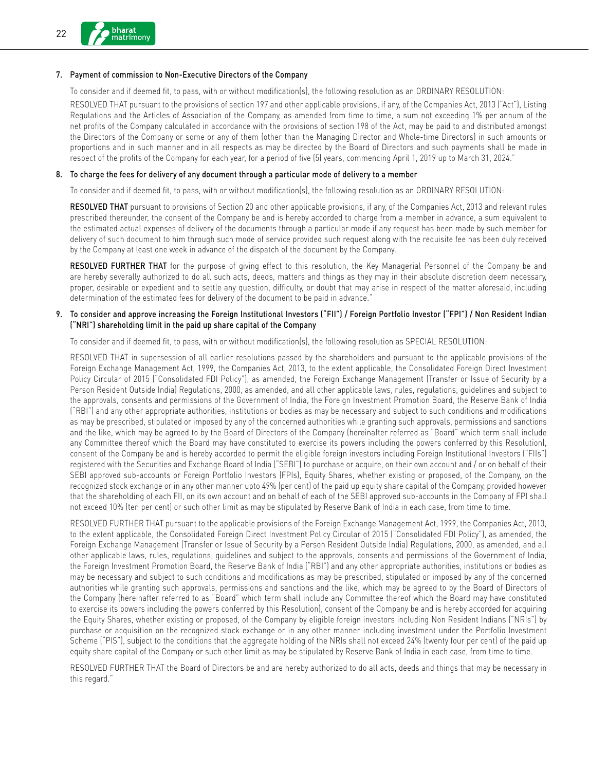### 7. Payment of commission to Non-Executive Directors of the Company

To consider and if deemed fit, to pass, with or without modification(s), the following resolution as an ORDINARY RESOLUTION:

RESOLVED THAT pursuant to the provisions of section 197 and other applicable provisions, if any, of the Companies Act, 2013 ("Act"), Listing Regulations and the Articles of Association of the Company, as amended from time to time, a sum not exceeding 1% per annum of the net profits of the Company calculated in accordance with the provisions of section 198 of the Act, may be paid to and distributed amongst the Directors of the Company or some or any of them (other than the Managing Director and Whole-time Directors) in such amounts or proportions and in such manner and in all respects as may be directed by the Board of Directors and such payments shall be made in respect of the profits of the Company for each year, for a period of five (5) years, commencing April 1, 2019 up to March 31, 2024."

### 8. To charge the fees for delivery of any document through a particular mode of delivery to a member

To consider and if deemed fit, to pass, with or without modification(s), the following resolution as an ORDINARY RESOLUTION:

RESOLVED THAT pursuant to provisions of Section 20 and other applicable provisions, if any, of the Companies Act, 2013 and relevant rules prescribed thereunder, the consent of the Company be and is hereby accorded to charge from a member in advance, a sum equivalent to the estimated actual expenses of delivery of the documents through a particular mode if any request has been made by such member for delivery of such document to him through such mode of service provided such request along with the requisite fee has been duly received by the Company at least one week in advance of the dispatch of the document by the Company.

RESOLVED FURTHER THAT for the purpose of giving effect to this resolution, the Key Managerial Personnel of the Company be and are hereby severally authorized to do all such acts, deeds, matters and things as they may in their absolute discretion deem necessary, proper, desirable or expedient and to settle any question, difficulty, or doubt that may arise in respect of the matter aforesaid, including determination of the estimated fees for delivery of the document to be paid in advance."

### 9. To consider and approve increasing the Foreign Institutional Investors ("FII") / Foreign Portfolio Investor ("FPI") / Non Resident Indian ("NRI") shareholding limit in the paid up share capital of the Company

To consider and if deemed fit, to pass, with or without modification(s), the following resolution as SPECIAL RESOLUTION:

RESOLVED THAT in supersession of all earlier resolutions passed by the shareholders and pursuant to the applicable provisions of the Foreign Exchange Management Act, 1999, the Companies Act, 2013, to the extent applicable, the Consolidated Foreign Direct Investment Policy Circular of 2015 ("Consolidated FDI Policy"), as amended, the Foreign Exchange Management (Transfer or Issue of Security by a Person Resident Outside India) Regulations, 2000, as amended, and all other applicable laws, rules, regulations, guidelines and subject to the approvals, consents and permissions of the Government of India, the Foreign Investment Promotion Board, the Reserve Bank of India ("RBI") and any other appropriate authorities, institutions or bodies as may be necessary and subject to such conditions and modifications as may be prescribed, stipulated or imposed by any of the concerned authorities while granting such approvals, permissions and sanctions and the like, which may be agreed to by the Board of Directors of the Company (hereinafter referred as "Board" which term shall include any Committee thereof which the Board may have constituted to exercise its powers including the powers conferred by this Resolution), consent of the Company be and is hereby accorded to permit the eligible foreign investors including Foreign Institutional Investors ("FIIs") registered with the Securities and Exchange Board of India ("SEBI") to purchase or acquire, on their own account and / or on behalf of their SEBI approved sub-accounts or Foreign Portfolio Investors (FPIs), Equity Shares, whether existing or proposed, of the Company, on the recognized stock exchange or in any other manner upto 49% (per cent) of the paid up equity share capital of the Company, provided however that the shareholding of each FII, on its own account and on behalf of each of the SEBI approved sub-accounts in the Company of FPI shall not exceed 10% (ten per cent) or such other limit as may be stipulated by Reserve Bank of India in each case, from time to time.

RESOLVED FURTHER THAT pursuant to the applicable provisions of the Foreign Exchange Management Act, 1999, the Companies Act, 2013, to the extent applicable, the Consolidated Foreign Direct Investment Policy Circular of 2015 ("Consolidated FDI Policy"), as amended, the Foreign Exchange Management (Transfer or Issue of Security by a Person Resident Outside India) Regulations, 2000, as amended, and all other applicable laws, rules, regulations, guidelines and subject to the approvals, consents and permissions of the Government of India, the Foreign Investment Promotion Board, the Reserve Bank of India ("RBI") and any other appropriate authorities, institutions or bodies as may be necessary and subject to such conditions and modifications as may be prescribed, stipulated or imposed by any of the concerned authorities while granting such approvals, permissions and sanctions and the like, which may be agreed to by the Board of Directors of the Company (hereinafter referred to as "Board" which term shall include any Committee thereof which the Board may have constituted to exercise its powers including the powers conferred by this Resolution), consent of the Company be and is hereby accorded for acquiring the Equity Shares, whether existing or proposed, of the Company by eligible foreign investors including Non Resident Indians ("NRIs") by purchase or acquisition on the recognized stock exchange or in any other manner including investment under the Portfolio Investment Scheme ("PIS"), subject to the conditions that the aggregate holding of the NRIs shall not exceed 24% (twenty four per cent) of the paid up equity share capital of the Company or such other limit as may be stipulated by Reserve Bank of India in each case, from time to time.

RESOLVED FURTHER THAT the Board of Directors be and are hereby authorized to do all acts, deeds and things that may be necessary in this regard."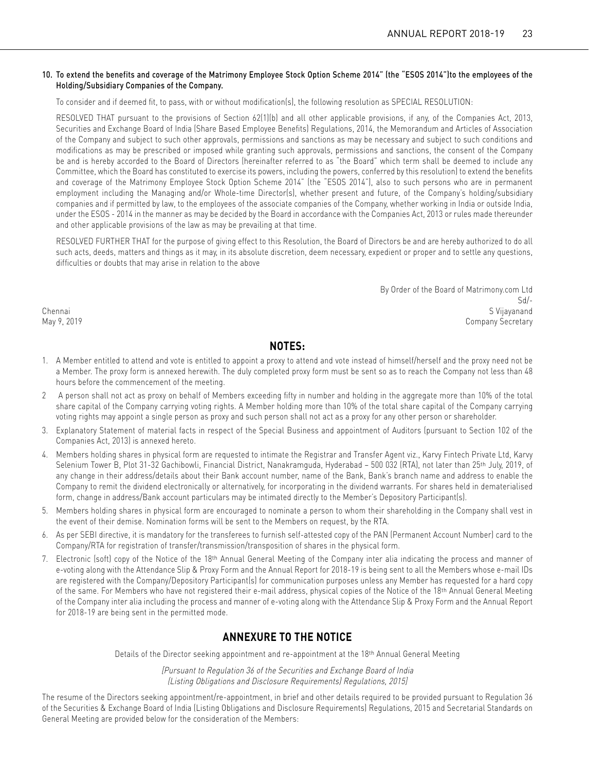### 10. To extend the benefits and coverage of the Matrimony Employee Stock Option Scheme 2014" (the "ESOS 2014")to the employees of the Holding/Subsidiary Companies of the Company.

To consider and if deemed fit, to pass, with or without modification(s), the following resolution as SPECIAL RESOLUTION:

RESOLVED THAT pursuant to the provisions of Section 62(1)(b) and all other applicable provisions, if any, of the Companies Act, 2013, Securities and Exchange Board of India (Share Based Employee Benefits) Regulations, 2014, the Memorandum and Articles of Association of the Company and subject to such other approvals, permissions and sanctions as may be necessary and subject to such conditions and modifications as may be prescribed or imposed while granting such approvals, permissions and sanctions, the consent of the Company be and is hereby accorded to the Board of Directors (hereinafter referred to as "the Board" which term shall be deemed to include any Committee, which the Board has constituted to exercise its powers, including the powers, conferred by this resolution) to extend the benefits and coverage of the Matrimony Employee Stock Option Scheme 2014" (the "ESOS 2014"), also to such persons who are in permanent employment including the Managing and/or Whole-time Director(s), whether present and future, of the Company's holding/subsidiary companies and if permitted by law, to the employees of the associate companies of the Company, whether working in India or outside India, under the ESOS - 2014 in the manner as may be decided by the Board in accordance with the Companies Act, 2013 or rules made thereunder and other applicable provisions of the law as may be prevailing at that time.

RESOLVED FURTHER THAT for the purpose of giving effect to this Resolution, the Board of Directors be and are hereby authorized to do all such acts, deeds, matters and things as it may, in its absolute discretion, deem necessary, expedient or proper and to settle any questions, difficulties or doubts that may arise in relation to the above

By Order of the Board of Matrimony.com Ltd Sd/- Chennai S Vijayanand May 9, 2019 Company Secretary

## **NOTES:**

- 1. A Member entitled to attend and vote is entitled to appoint a proxy to attend and vote instead of himself/herself and the proxy need not be a Member. The proxy form is annexed herewith. The duly completed proxy form must be sent so as to reach the Company not less than 48 hours before the commencement of the meeting.
- 2 A person shall not act as proxy on behalf of Members exceeding fifty in number and holding in the aggregate more than 10% of the total share capital of the Company carrying voting rights. A Member holding more than 10% of the total share capital of the Company carrying voting rights may appoint a single person as proxy and such person shall not act as a proxy for any other person or shareholder.
- 3. Explanatory Statement of material facts in respect of the Special Business and appointment of Auditors (pursuant to Section 102 of the Companies Act, 2013) is annexed hereto.
- 4. Members holding shares in physical form are requested to intimate the Registrar and Transfer Agent viz., Karvy Fintech Private Ltd, Karvy Selenium Tower B, Plot 31-32 Gachibowli, Financial District, Nanakramguda, Hyderabad – 500 032 (RTA), not later than 25th July, 2019, of any change in their address/details about their Bank account number, name of the Bank, Bank's branch name and address to enable the Company to remit the dividend electronically or alternatively, for incorporating in the dividend warrants. For shares held in dematerialised form, change in address/Bank account particulars may be intimated directly to the Member's Depository Participant(s).
- 5. Members holding shares in physical form are encouraged to nominate a person to whom their shareholding in the Company shall vest in the event of their demise. Nomination forms will be sent to the Members on request, by the RTA.
- 6. As per SEBI directive, it is mandatory for the transferees to furnish self-attested copy of the PAN (Permanent Account Number) card to the Company/RTA for registration of transfer/transmission/transposition of shares in the physical form.
- 7. Electronic (soft) copy of the Notice of the 18th Annual General Meeting of the Company inter alia indicating the process and manner of e-voting along with the Attendance Slip & Proxy Form and the Annual Report for 2018-19 is being sent to all the Members whose e-mail IDs are registered with the Company/Depository Participant(s) for communication purposes unless any Member has requested for a hard copy of the same. For Members who have not registered their e-mail address, physical copies of the Notice of the 18th Annual General Meeting of the Company inter alia including the process and manner of e-voting along with the Attendance Slip & Proxy Form and the Annual Report for 2018-19 are being sent in the permitted mode.

# **ANNEXURE TO THE NOTICE**

Details of the Director seeking appointment and re-appointment at the 18th Annual General Meeting

[Pursuant to Regulation 36 of the Securities and Exchange Board of India (Listing Obligations and Disclosure Requirements) Regulations, 2015]

The resume of the Directors seeking appointment/re-appointment, in brief and other details required to be provided pursuant to Regulation 36 of the Securities & Exchange Board of India (Listing Obligations and Disclosure Requirements) Regulations, 2015 and Secretarial Standards on General Meeting are provided below for the consideration of the Members: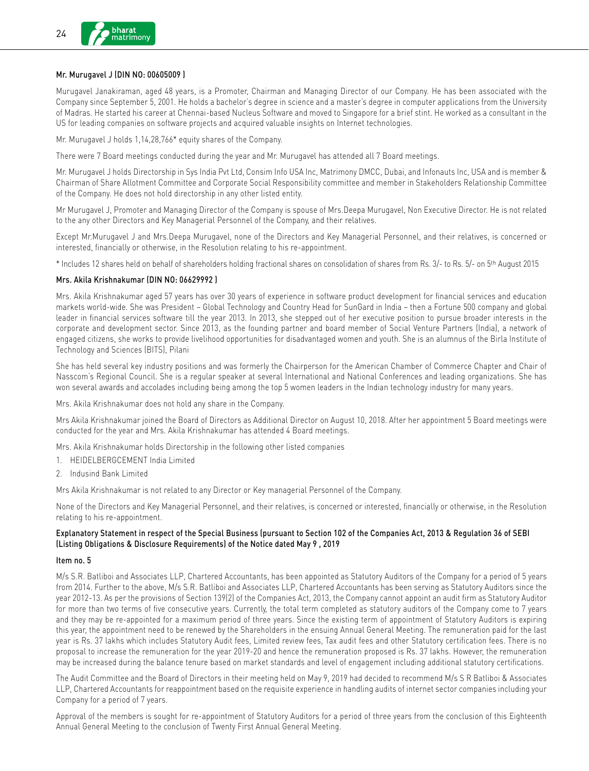### Mr. Murugavel J (DIN NO: 00605009 )

Murugavel Janakiraman, aged 48 years, is a Promoter, Chairman and Managing Director of our Company. He has been associated with the Company since September 5, 2001. He holds a bachelor's degree in science and a master's degree in computer applications from the University of Madras. He started his career at Chennai-based Nucleus Software and moved to Singapore for a brief stint. He worked as a consultant in the US for leading companies on software projects and acquired valuable insights on Internet technologies.

Mr. Murugavel J holds 1,14,28,766\* equity shares of the Company.

There were 7 Board meetings conducted during the year and Mr. Murugavel has attended all 7 Board meetings.

Mr. Murugavel J holds Directorship in Sys India Pvt Ltd, Consim Info USA Inc, Matrimony DMCC, Dubai, and Infonauts Inc, USA and is member & Chairman of Share Allotment Committee and Corporate Social Responsibility committee and member in Stakeholders Relationship Committee of the Company. He does not hold directorship in any other listed entity.

Mr Murugavel J, Promoter and Managing Director of the Company is spouse of Mrs.Deepa Murugavel, Non Executive Director. He is not related to the any other Directors and Key Managerial Personnel of the Company, and their relatives.

Except Mr.Murugavel J and Mrs.Deepa Murugavel, none of the Directors and Key Managerial Personnel, and their relatives, is concerned or interested, financially or otherwise, in the Resolution relating to his re-appointment.

\* Includes 12 shares held on behalf of shareholders holding fractional shares on consolidation of shares from Rs. 3/- to Rs. 5/- on 5th August 2015

### Mrs. Akila Krishnakumar (DIN NO: 06629992 )

Mrs. Akila Krishnakumar aged 57 years has over 30 years of experience in software product development for financial services and education markets world-wide. She was President – Global Technology and Country Head for SunGard in India – then a Fortune 500 company and global leader in financial services software till the year 2013. In 2013, she stepped out of her executive position to pursue broader interests in the corporate and development sector. Since 2013, as the founding partner and board member of Social Venture Partners (India), a network of engaged citizens, she works to provide livelihood opportunities for disadvantaged women and youth. She is an alumnus of the Birla Institute of Technology and Sciences (BITS), Pilani

She has held several key industry positions and was formerly the Chairperson for the American Chamber of Commerce Chapter and Chair of Nasscom's Regional Council. She is a regular speaker at several International and National Conferences and leading organizations. She has won several awards and accolades including being among the top 5 women leaders in the Indian technology industry for many years.

Mrs. Akila Krishnakumar does not hold any share in the Company.

Mrs Akila Krishnakumar joined the Board of Directors as Additional Director on August 10, 2018. After her appointment 5 Board meetings were conducted for the year and Mrs. Akila Krishnakumar has attended 4 Board meetings.

Mrs. Akila Krishnakumar holds Directorship in the following other listed companies

- 1. HEIDELBERGCEMENT India Limited
- 2. Indusind Bank Limited

Mrs Akila Krishnakumar is not related to any Director or Key managerial Personnel of the Company.

None of the Directors and Key Managerial Personnel, and their relatives, is concerned or interested, financially or otherwise, in the Resolution relating to his re-appointment.

### Explanatory Statement in respect of the Special Business (pursuant to Section 102 of the Companies Act, 2013 & Regulation 36 of SEBI (Listing Obligations & Disclosure Requirements) of the Notice dated May 9 , 2019

### Item no. 5

M/s S.R. Batliboi and Associates LLP, Chartered Accountants, has been appointed as Statutory Auditors of the Company for a period of 5 years from 2014. Further to the above, M/s S.R. Batliboi and Associates LLP, Chartered Accountants has been serving as Statutory Auditors since the year 2012-13. As per the provisions of Section 139(2) of the Companies Act, 2013, the Company cannot appoint an audit firm as Statutory Auditor for more than two terms of five consecutive years. Currently, the total term completed as statutory auditors of the Company come to 7 years and they may be re-appointed for a maximum period of three years. Since the existing term of appointment of Statutory Auditors is expiring this year, the appointment need to be renewed by the Shareholders in the ensuing Annual General Meeting. The remuneration paid for the last year is Rs. 37 lakhs which includes Statutory Audit fees, Limited review fees, Tax audit fees and other Statutory certification fees. There is no proposal to increase the remuneration for the year 2019-20 and hence the remuneration proposed is Rs. 37 lakhs. However, the remuneration may be increased during the balance tenure based on market standards and level of engagement including additional statutory certifications.

The Audit Committee and the Board of Directors in their meeting held on May 9, 2019 had decided to recommend M/s S R Batliboi & Associates LLP, Chartered Accountants for reappointment based on the requisite experience in handling audits of internet sector companies including your Company for a period of 7 years.

Approval of the members is sought for re-appointment of Statutory Auditors for a period of three years from the conclusion of this Eighteenth Annual General Meeting to the conclusion of Twenty First Annual General Meeting.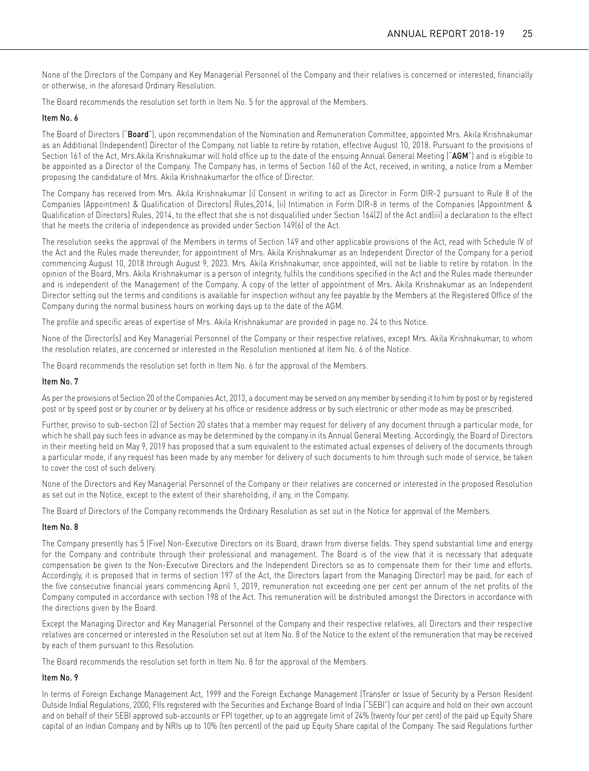None of the Directors of the Company and Key Managerial Personnel of the Company and their relatives is concerned or interested, financially or otherwise, in the aforesaid Ordinary Resolution.

The Board recommends the resolution set forth in Item No. 5 for the approval of the Members.

### Item No. 6

The Board of Directors ("Board"), upon recommendation of the Nomination and Remuneration Committee, appointed Mrs. Akila Krishnakumar as an Additional (Independent) Director of the Company, not liable to retire by rotation, effective August 10, 2018. Pursuant to the provisions of Section 161 of the Act, Mrs.Akila Krishnakumar will hold office up to the date of the ensuing Annual General Meeting ("AGM") and is eligible to be appointed as a Director of the Company. The Company has, in terms of Section 160 of the Act, received, in writing, a notice from a Member proposing the candidature of Mrs. Akila Krishnakumarfor the office of Director.

The Company has received from Mrs. Akila Krishnakumar (i) Consent in writing to act as Director in Form DIR-2 pursuant to Rule 8 of the Companies (Appointment & Qualification of Directors) Rules,2014, (ii) Intimation in Form DIR-8 in terms of the Companies (Appointment & Qualification of Directors) Rules, 2014, to the effect that she is not disqualified under Section 164(2) of the Act and(iii) a declaration to the effect that he meets the criteria of independence as provided under Section 149(6) of the Act.

The resolution seeks the approval of the Members in terms of Section 149 and other applicable provisions of the Act, read with Schedule IV of the Act and the Rules made thereunder, for appointment of Mrs. Akila Krishnakumar as an Independent Director of the Company for a period commencing August 10, 2018 through August 9, 2023. Mrs. Akila Krishnakumar, once appointed, will not be liable to retire by rotation. In the opinion of the Board, Mrs. Akila Krishnakumar is a person of integrity, fulfils the conditions specified in the Act and the Rules made thereunder and is independent of the Management of the Company. A copy of the letter of appointment of Mrs. Akila Krishnakumar as an Independent Director setting out the terms and conditions is available for inspection without any fee payable by the Members at the Registered Office of the Company during the normal business hours on working days up to the date of the AGM.

The profile and specific areas of expertise of Mrs. Akila Krishnakumar are provided in page no. 24 to this Notice.

None of the Director(s) and Key Managerial Personnel of the Company or their respective relatives, except Mrs. Akila Krishnakumar, to whom the resolution relates, are concerned or interested in the Resolution mentioned at Item No. 6 of the Notice.

The Board recommends the resolution set forth in Item No. 6 for the approval of the Members.

### Item No. 7

As per the provisions of Section 20 of the Companies Act, 2013, a document may be served on any member by sending it to him by post or by registered post or by speed post or by courier or by delivery at his office or residence address or by such electronic or other mode as may be prescribed.

Further, proviso to sub-section (2) of Section 20 states that a member may request for delivery of any document through a particular mode, for which he shall pay such fees in advance as may be determined by the company in its Annual General Meeting. Accordingly, the Board of Directors in their meeting held on May 9, 2019 has proposed that a sum equivalent to the estimated actual expenses of delivery of the documents through a particular mode, if any request has been made by any member for delivery of such documents to him through such mode of service, be taken to cover the cost of such delivery.

None of the Directors and Key Managerial Personnel of the Company or their relatives are concerned or interested in the proposed Resolution as set out in the Notice, except to the extent of their shareholding, if any, in the Company.

The Board of Directors of the Company recommends the Ordinary Resolution as set out in the Notice for approval of the Members.

### Item No. 8

The Company presently has 5 (Five) Non-Executive Directors on its Board, drawn from diverse fields. They spend substantial time and energy for the Company and contribute through their professional and management. The Board is of the view that it is necessary that adequate compensation be given to the Non-Executive Directors and the Independent Directors so as to compensate them for their time and efforts. Accordingly, it is proposed that in terms of section 197 of the Act, the Directors (apart from the Managing Director) may be paid, for each of the five consecutive financial years commencing April 1, 2019, remuneration not exceeding one per cent per annum of the net profits of the Company computed in accordance with section 198 of the Act. This remuneration will be distributed amongst the Directors in accordance with the directions given by the Board.

Except the Managing Director and Key Managerial Personnel of the Company and their respective relatives, all Directors and their respective relatives are concerned or interested in the Resolution set out at Item No. 8 of the Notice to the extent of the remuneration that may be received by each of them pursuant to this Resolution.

The Board recommends the resolution set forth in Item No. 8 for the approval of the Members.

### Item No. 9

In terms of Foreign Exchange Management Act, 1999 and the Foreign Exchange Management (Transfer or Issue of Security by a Person Resident Outside India) Regulations, 2000, FIIs registered with the Securities and Exchange Board of India ("SEBI") can acquire and hold on their own account and on behalf of their SEBI approved sub-accounts or FPI together, up to an aggregate limit of 24% (twenty four per cent) of the paid up Equity Share capital of an Indian Company and by NRIs up to 10% (ten percent) of the paid up Equity Share capital of the Company. The said Regulations further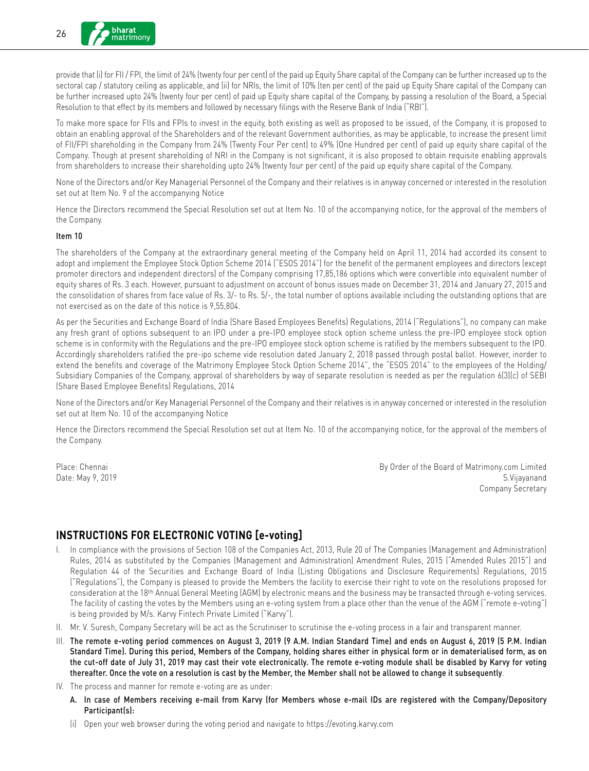provide that (i) for FII / FPI, the limit of 24% (twenty four per cent) of the paid up Equity Share capital of the Company can be further increased up to the sectoral cap / statutory ceiling as applicable, and (ii) for NRIs, the limit of 10% (ten per cent) of the paid up Equity Share capital of the Company can be further increased upto 24% (twenty four per cent) of paid up Equity share capital of the Company, by passing a resolution of the Board, a Special Resolution to that effect by its members and followed by necessary filings with the Reserve Bank of India ("RBI").

To make more space for FIIs and FPIs to invest in the equity, both existing as well as proposed to be issued, of the Company, it is proposed to obtain an enabling approval of the Shareholders and of the relevant Government authorities, as may be applicable, to increase the present limit of FII/FPI shareholding in the Company from 24% (Twenty Four Per cent) to 49% (One Hundred per cent) of paid up equity share capital of the Company. Though at present shareholding of NRI in the Company is not significant, it is also proposed to obtain requisite enabling approvals from shareholders to increase their shareholding upto 24% (twenty four per cent) of the paid up equity share capital of the Company.

None of the Directors and/or Key Managerial Personnel of the Company and their relatives is in anyway concerned or interested in the resolution set out at Item No. 9 of the accompanying Notice

Hence the Directors recommend the Special Resolution set out at Item No. 10 of the accompanying notice, for the approval of the members of the Company.

### Item 10

The shareholders of the Company at the extraordinary general meeting of the Company held on April 11, 2014 had accorded its consent to adopt and implement the Employee Stock Option Scheme 2014 ("ESOS 2014") for the benefit of the permanent employees and directors (except promoter directors and independent directors) of the Company comprising 17,85,186 options which were convertible into equivalent number of equity shares of Rs. 3 each. However, pursuant to adjustment on account of bonus issues made on December 31, 2014 and January 27, 2015 and the consolidation of shares from face value of Rs. 3/- to Rs. 5/-, the total number of options available including the outstanding options that are not exercised as on the date of this notice is 9,55,804.

As per the Securities and Exchange Board of India (Share Based Employees Benefits) Regulations, 2014 ("Regulations"), no company can make any fresh grant of options subsequent to an IPO under a pre-IPO employee stock option scheme unless the pre-IPO employee stock option scheme is in conformity with the Regulations and the pre-IPO employee stock option scheme is ratified by the members subsequent to the IPO. Accordingly shareholders ratified the pre-ipo scheme vide resolution dated January 2, 2018 passed through postal ballot. However, inorder to extend the benefits and coverage of the Matrimony Employee Stock Option Scheme 2014", the "ESOS 2014" to the employees of the Holding/ Subsidiary Companies of the Company, approval of shareholders by way of separate resolution is needed as per the regulation 6(3)(c) of SEBI (Share Based Employee Benefits) Regulations, 2014

None of the Directors and/or Key Managerial Personnel of the Company and their relatives is in anyway concerned or interested in the resolution set out at Item No. 10 of the accompanying Notice

Hence the Directors recommend the Special Resolution set out at Item No. 10 of the accompanying notice, for the approval of the members of the Company.

Place: Chennai By Order of the Board of Matrimony.com Limited Date: May 9, 2019 S.Vijayanand Company Secretary

## **INSTRUCTIONS FOR ELECTRONIC VOTING [e-voting]**

- I. In compliance with the provisions of Section 108 of the Companies Act, 2013, Rule 20 of The Companies (Management and Administration) Rules, 2014 as substituted by the Companies (Management and Administration) Amendment Rules, 2015 ("Amended Rules 2015") and Regulation 44 of the Securities and Exchange Board of India (Listing Obligations and Disclosure Requirements) Regulations, 2015 ("Regulations"), the Company is pleased to provide the Members the facility to exercise their right to vote on the resolutions proposed for consideration at the 18th Annual General Meeting (AGM) by electronic means and the business may be transacted through e-voting services. The facility of casting the votes by the Members using an e-voting system from a place other than the venue of the AGM ("remote e-voting") is being provided by M/s. Karvy Fintech Private Limited ("Karvy").
- II. Mr. V. Suresh, Company Secretary will be act as the Scrutiniser to scrutinise the e-voting process in a fair and transparent manner.
- III. The remote e-voting period commences on August 3, 2019 (9 A.M. Indian Standard Time) and ends on August 6, 2019 (5 P.M. Indian Standard Time). During this period, Members of the Company, holding shares either in physical form or in dematerialised form, as on the cut-off date of July 31, 2019 may cast their vote electronically. The remote e-voting module shall be disabled by Karvy for voting thereafter. Once the vote on a resolution is cast by the Member, the Member shall not be allowed to change it subsequently.
- IV. The process and manner for remote e-voting are as under:
	- A. In case of Members receiving e-mail from Karvy (for Members whose e-mail IDs are registered with the Company/Depository Participant(s):
	- (i) Open your web browser during the voting period and navigate to https://evoting.karvy.com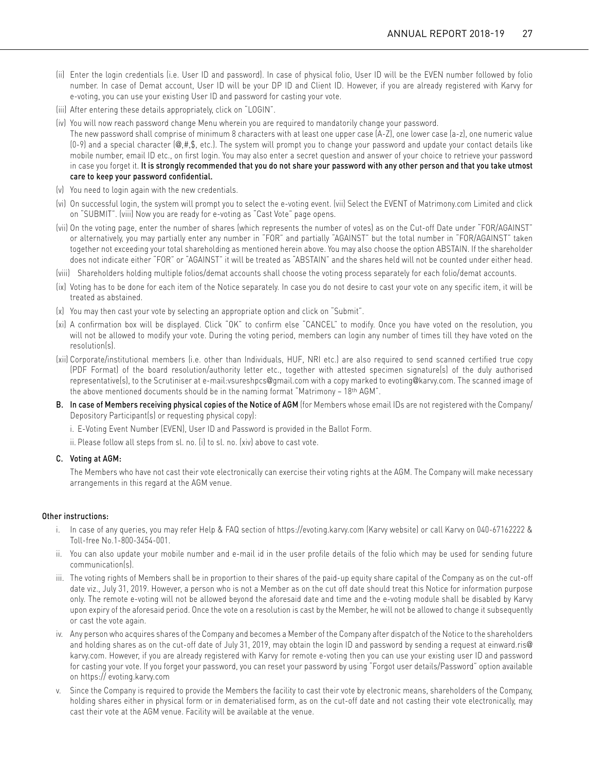- (ii) Enter the login credentials (i.e. User ID and password). In case of physical folio, User ID will be the EVEN number followed by folio number. In case of Demat account, User ID will be your DP ID and Client ID. However, if you are already registered with Karvy for e-voting, you can use your existing User ID and password for casting your vote.
- (iii) After entering these details appropriately, click on "LOGIN".
- (iv) You will now reach password change Menu wherein you are required to mandatorily change your password.

The new password shall comprise of minimum 8 characters with at least one upper case (A-Z), one lower case (a-z), one numeric value  $(0-9)$  and a special character  $(\mathcal{Q}, \#, \mathsf{S}, \text{ etc.})$ . The system will prompt you to change your password and update your contact details like mobile number, email ID etc., on first login. You may also enter a secret question and answer of your choice to retrieve your password in case you forget it. It is strongly recommended that you do not share your password with any other person and that you take utmost care to keep your password confidential.

- (v) You need to login again with the new credentials.
- (vi) On successful login, the system will prompt you to select the e-voting event. (vii) Select the EVENT of Matrimony.com Limited and click on "SUBMIT". (viii) Now you are ready for e-voting as "Cast Vote" page opens.
- (vii) On the voting page, enter the number of shares (which represents the number of votes) as on the Cut-off Date under "FOR/AGAINST" or alternatively, you may partially enter any number in "FOR" and partially "AGAINST" but the total number in "FOR/AGAINST" taken together not exceeding your total shareholding as mentioned herein above. You may also choose the option ABSTAIN. If the shareholder does not indicate either "FOR" or "AGAINST" it will be treated as "ABSTAIN" and the shares held will not be counted under either head.
- (viii) Shareholders holding multiple folios/demat accounts shall choose the voting process separately for each folio/demat accounts.
- (ix) Voting has to be done for each item of the Notice separately. In case you do not desire to cast your vote on any specific item, it will be treated as abstained.
- (x) You may then cast your vote by selecting an appropriate option and click on "Submit".
- (xi) A confirmation box will be displayed. Click "OK" to confirm else "CANCEL" to modify. Once you have voted on the resolution, you will not be allowed to modify your vote. During the voting period, members can login any number of times till they have voted on the resolution(s).
- (xii) Corporate/institutional members (i.e. other than Individuals, HUF, NRI etc.) are also required to send scanned certified true copy (PDF Format) of the board resolution/authority letter etc., together with attested specimen signature(s) of the duly authorised representative(s), to the Scrutiniser at e-mail[:vsureshpcs](mailto:vsureshpcs@gmail.com%20)@gmail.com with a copy marked to evoting@[karvy.com. T](mailto:evoting@karvy.com)he scanned image of the above mentioned documents should be in the naming format "Matrimony – 18th AGM".
- B. In case of Members receiving physical copies of the Notice of AGM (for Members whose email IDs are not registered with the Company/ Depository Participant(s) or requesting physical copy):
	- i. E-Voting Event Number (EVEN), User ID and Password is provided in the Ballot Form.
	- ii. Please follow all steps from sl. no. (i) to sl. no. (xiv) above to cast vote.
- C. Voting at AGM:

 The Members who have not cast their vote electronically can exercise their voting rights at the AGM. The Company will make necessary arrangements in this regard at the AGM venue.

### Other instructions:

- i. In case of any queries, you may refer Help & FAQ section of https://evoting.karvy.com (Karvy website) or call Karvy on 040-67162222 & Toll-free No.1-800-3454-001.
- ii. You can also update your mobile number and e-mail id in the user profile details of the folio which may be used for sending future communication(s).
- iii. The voting rights of Members shall be in proportion to their shares of the paid-up equity share capital of the Company as on the cut-off date viz., July 31, 2019. However, a person who is not a Member as on the cut off date should treat this Notice for information purpose only. The remote e-voting will not be allowed beyond the aforesaid date and time and the e-voting module shall be disabled by Karvy upon expiry of the aforesaid period. Once the vote on a resolution is cast by the Member, he will not be allowed to change it subsequently or cast the vote again.
- iv. Any person who acquires shares of the Company and becomes a Member of the Company after dispatch of the Notice to the shareholders and holding shares as on the cut-off date of July 31, 2019, may obtain the login ID and password by sending a request at [einward.ris](mailto:einward.ris@karvy.com)@ [karvy.com.](mailto:einward.ris@karvy.com) However, if you are already registered with Karvy for remote e-voting then you can use your existing user ID and password for casting your vote. If you forget your password, you can reset your password by using "Forgot user details/Password" option available on https:// evoting.karvy.com
- v. Since the Company is required to provide the Members the facility to cast their vote by electronic means, shareholders of the Company, holding shares either in physical form or in dematerialised form, as on the cut-off date and not casting their vote electronically, may cast their vote at the AGM venue. Facility will be available at the venue.